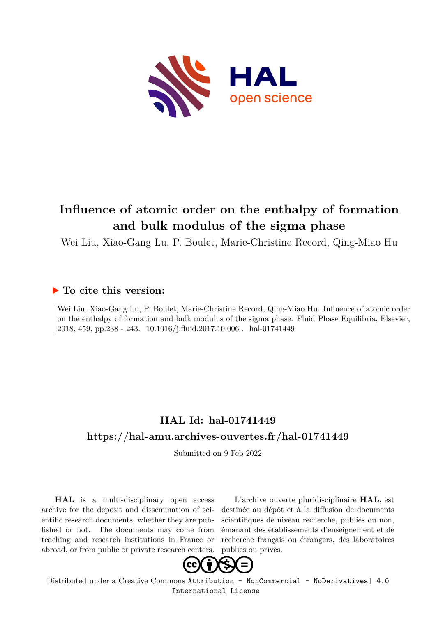

# **Influence of atomic order on the enthalpy of formation and bulk modulus of the sigma phase**

Wei Liu, Xiao-Gang Lu, P. Boulet, Marie-Christine Record, Qing-Miao Hu

### **To cite this version:**

Wei Liu, Xiao-Gang Lu, P. Boulet, Marie-Christine Record, Qing-Miao Hu. Influence of atomic order on the enthalpy of formation and bulk modulus of the sigma phase. Fluid Phase Equilibria, Elsevier, 2018, 459, pp.238 - 243. 10.1016/j.fluid.2017.10.006. hal-01741449

## **HAL Id: hal-01741449 <https://hal-amu.archives-ouvertes.fr/hal-01741449>**

Submitted on 9 Feb 2022

**HAL** is a multi-disciplinary open access archive for the deposit and dissemination of scientific research documents, whether they are published or not. The documents may come from teaching and research institutions in France or abroad, or from public or private research centers.

L'archive ouverte pluridisciplinaire **HAL**, est destinée au dépôt et à la diffusion de documents scientifiques de niveau recherche, publiés ou non, émanant des établissements d'enseignement et de recherche français ou étrangers, des laboratoires publics ou privés.



Distributed under a Creative Commons [Attribution - NonCommercial - NoDerivatives| 4.0](http://creativecommons.org/licenses/by-nc-nd/4.0/) [International License](http://creativecommons.org/licenses/by-nc-nd/4.0/)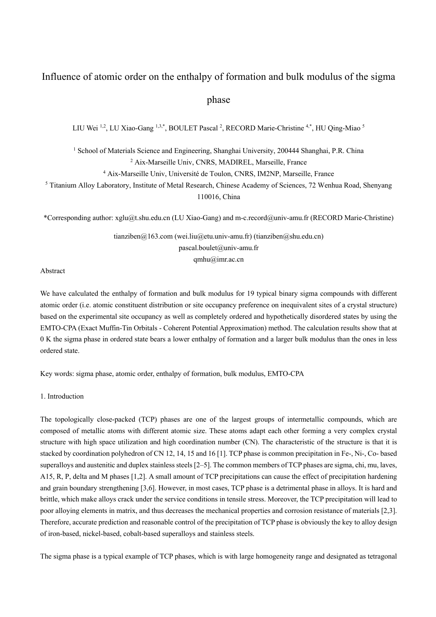### Influence of atomic order on the enthalpy of formation and bulk modulus of the sigma

phase

LIU Wei <sup>1,2</sup>, LU Xiao-Gang <sup>1,3,\*</sup>, BOULET Pascal <sup>2</sup>, RECORD Marie-Christine <sup>4,\*</sup>, HU Qing-Miao <sup>5</sup>

<sup>1</sup> School of Materials Science and Engineering, Shanghai University, 200444 Shanghai, P.R. China <sup>2</sup> Aix-Marseille Univ, CNRS, MADIREL, Marseille, France

<sup>4</sup> Aix-Marseille Univ, Université de Toulon, CNRS, IM2NP, Marseille, France

<sup>5</sup> Titanium Alloy Laboratory, Institute of Metal Research, Chinese Academy of Sciences, 72 Wenhua Road, Shenyang 110016, China

\*Corresponding author: xglu@t.shu.edu.cn (LU Xiao-Gang) and m-c.record@univ-amu.fr (RECORD Marie-Christine)

tianziben@163.com (wei.liu@etu.univ-amu.fr) (tianziben@shu.edu.cn) pascal.boulet@univ-amu.fr qmhu@imr.ac.cn

Abstract

We have calculated the enthalpy of formation and bulk modulus for 19 typical binary sigma compounds with different atomic order (i.e. atomic constituent distribution or site occupancy preference on inequivalent sites of a crystal structure) based on the experimental site occupancy as well as completely ordered and hypothetically disordered states by using the EMTO-CPA (Exact Muffin-Tin Orbitals - Coherent Potential Approximation) method. The calculation results show that at 0 K the sigma phase in ordered state bears a lower enthalpy of formation and a larger bulk modulus than the ones in less ordered state.

Key words: sigma phase, atomic order, enthalpy of formation, bulk modulus, EMTO-CPA

1. Introduction

The topologically close-packed (TCP) phases are one of the largest groups of intermetallic compounds, which are composed of metallic atoms with different atomic size. These atoms adapt each other forming a very complex crystal structure with high space utilization and high coordination number (CN). The characteristic of the structure is that it is stacked by coordination polyhedron of CN 12, 14, 15 and 16 [1]. TCP phase is common precipitation in Fe-, Ni-, Co- based superalloys and austenitic and duplex stainless steels [2–5]. The common members of TCP phases are sigma, chi, mu, laves, A15, R, P, delta and M phases [1,2]. A small amount of TCP precipitations can cause the effect of precipitation hardening and grain boundary strengthening [3,6]. However, in most cases, TCP phase is a detrimental phase in alloys. It is hard and brittle, which make alloys crack under the service conditions in tensile stress. Moreover, the TCP precipitation will lead to poor alloying elements in matrix, and thus decreases the mechanical properties and corrosion resistance of materials [2,3]. Therefore, accurate prediction and reasonable control of the precipitation of TCP phase is obviously the key to alloy design of iron-based, nickel-based, cobalt-based superalloys and stainless steels.

The sigma phase is a typical example of TCP phases, which is with large homogeneity range and designated as tetragonal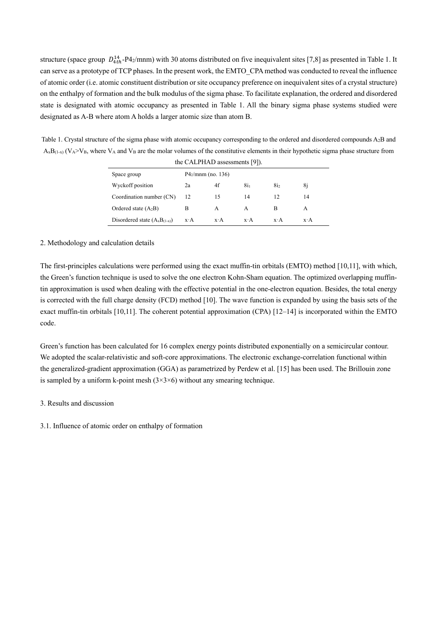structure (space group  $D_{4th}^{14}$ -P4<sub>2</sub>/mnm) with 30 atoms distributed on five inequivalent sites [7,8] as presented in Table 1. It can serve as a prototype of TCP phases. In the present work, the EMTO\_CPA method was conducted to reveal the influence of atomic order (i.e. atomic constituent distribution or site occupancy preference on inequivalent sites of a crystal structure) on the enthalpy of formation and the bulk modulus of the sigma phase. To facilitate explanation, the ordered and disordered state is designated with atomic occupancy as presented in Table 1. All the binary sigma phase systems studied were designated as A-B where atom A holds a larger atomic size than atom B.

Table 1. Crystal structure of the sigma phase with atomic occupancy corresponding to the ordered and disordered compounds A2B and  $A_xB_{(1-x)}$  (V<sub>A</sub>>V<sub>B</sub>, where V<sub>A</sub> and V<sub>B</sub> are the molar volumes of the constitutive elements in their hypothetic sigma phase structure from the CALPHAD assessments [9]).

| Space group                       | $P4_2/mnm$ (no. 136) |             |                 |                 |             |
|-----------------------------------|----------------------|-------------|-----------------|-----------------|-------------|
| Wyckoff position                  | 2a                   | 4f          | 8i <sub>1</sub> | 8i <sub>2</sub> | 8i          |
| Coordination number (CN)          | 12                   | 15          | 14              | 12              | 14          |
| Ordered state $(A_2B)$            | в                    | А           | A               | B               | A           |
| Disordered state $(A_xB_{(1-x)})$ | $x \cdot A$          | $x \cdot A$ | $x \cdot A$     | $x \cdot A$     | $x \cdot A$ |

#### 2. Methodology and calculation details

The first-principles calculations were performed using the exact muffin-tin orbitals (EMTO) method [10,11], with which, the Green's function technique is used to solve the one electron Kohn-Sham equation. The optimized overlapping muffintin approximation is used when dealing with the effective potential in the one-electron equation. Besides, the total energy is corrected with the full charge density (FCD) method [10]. The wave function is expanded by using the basis sets of the exact muffin-tin orbitals [10,11]. The coherent potential approximation (CPA) [12–14] is incorporated within the EMTO code.

Green's function has been calculated for 16 complex energy points distributed exponentially on a semicircular contour. We adopted the scalar-relativistic and soft-core approximations. The electronic exchange-correlation functional within the generalized-gradient approximation (GGA) as parametrized by Perdew et al. [15] has been used. The Brillouin zone is sampled by a uniform k-point mesh  $(3\times3\times6)$  without any smearing technique.

#### 3. Results and discussion

3.1. Influence of atomic order on enthalpy of formation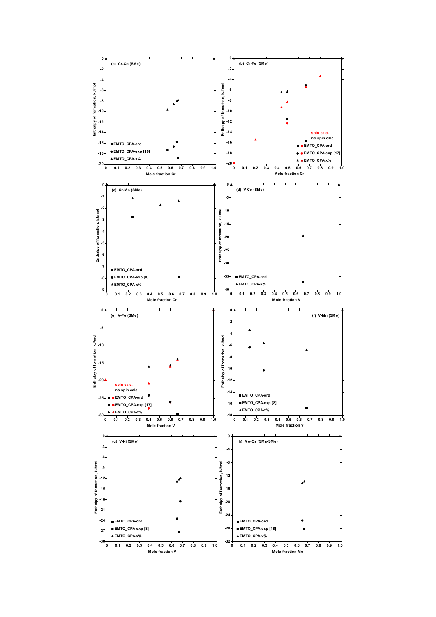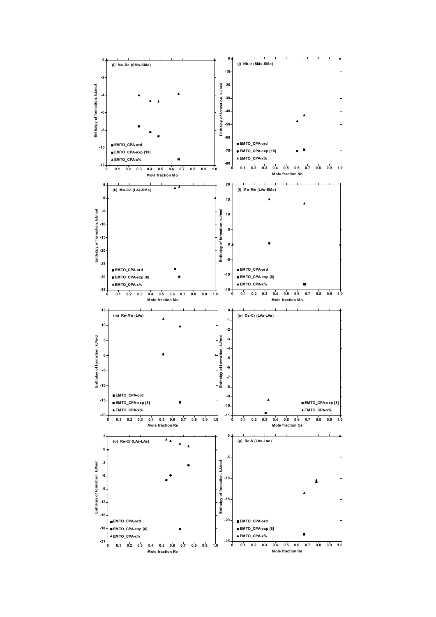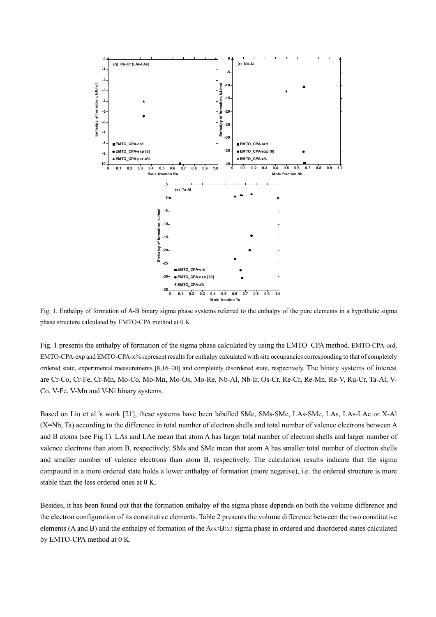

Fig. 1. Enthalpy of formation of A-B binary sigma phase systems referred to the enthalpy of the pure elements in a hypothetic sigma phase structure calculated by EMTO-CPA method at 0 K.

Fig. 1 presents the enthalpy of formation of the sigma phase calculated by using the EMTO\_CPA method. EMTO-CPA-ord, EMTO-CPA-exp and EMTO-CPA-x% represent results for enthalpy calculated with site occupancies corresponding to that of completely ordered state, experimental measurements [8,16–20] and completely disordered state, respectively. The binary systems of interest are Cr-Co, Cr-Fe, Cr-Mn, Mo-Co, Mo-Mn, Mo-Os, Mo-Re, Nb-Al, Nb-Ir, Os-Cr, Re-Cr, Re-Mn, Re-V, Ru-Cr, Ta-Al, V-Co, V-Fe, V-Mn and V-Ni binary systems.

Based on Liu et al.'s work [21], these systems have been labelled SMe, SMs-SMe, LAs-SMe, LAs, LAs-LAe or X-Al (X=Nb, Ta) according to the difference in total number of electron shells and total number of valence electrons between A and B atoms (see Fig.1). LAs and LAe mean that atom A has larger total number of electron shells and larger number of valence electrons than atom B, respectively. SMs and SMe mean that atom A has smaller total number of electron shells and smaller number of valence electrons than atom B, respectively. The calculation results indicate that the sigma compound in a more ordered state holds a lower enthalpy of formation (more negative), i.e. the ordered structure is more stable than the less ordered ones at 0 K.

Besides, it has been found out that the formation enthalpy of the sigma phase depends on both the volume difference and the electron configuration of its constitutive elements. Table 2 presents the volume difference between the two constitutive elements (A and B) and the enthalpy of formation of the  $A_{66.7}B_{33.3}$  sigma phase in ordered and disordered states calculated by EMTO-CPA method at 0 K.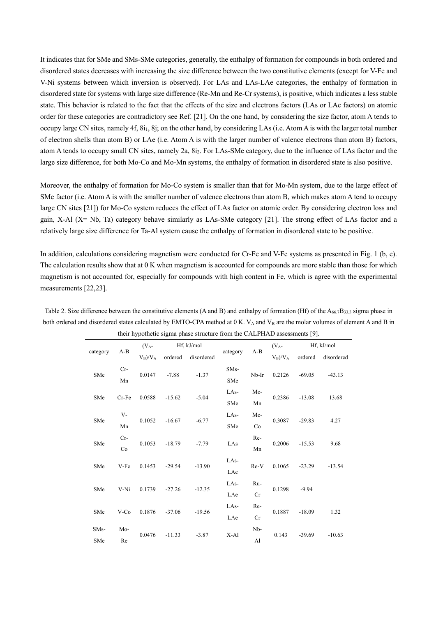It indicates that for SMe and SMs-SMe categories, generally, the enthalpy of formation for compounds in both ordered and disordered states decreases with increasing the size difference between the two constitutive elements (except for V-Fe and V-Ni systems between which inversion is observed). For LAs and LAs-LAe categories, the enthalpy of formation in disordered state for systems with large size difference (Re-Mn and Re-Cr systems), is positive, which indicates a less stable state. This behavior is related to the fact that the effects of the size and electrons factors (LAs or LAe factors) on atomic order for these categories are contradictory see Ref. [21]. On the one hand, by considering the size factor, atom A tends to occupy large CN sites, namely 4f, 8i1, 8j; on the other hand, by considering LAs (i.e. Atom A is with the larger total number of electron shells than atom B) or LAe (i.e. Atom A is with the larger number of valence electrons than atom B) factors, atom A tends to occupy small CN sites, namely 2a, 8i<sub>2</sub>. For LAs-SMe category, due to the influence of LAs factor and the large size difference, for both Mo-Co and Mo-Mn systems, the enthalpy of formation in disordered state is also positive.

Moreover, the enthalpy of formation for Mo-Co system is smaller than that for Mo-Mn system, due to the large effect of SMe factor (i.e. Atom A is with the smaller number of valence electrons than atom B, which makes atom A tend to occupy large CN sites [21]) for Mo-Co system reduces the effect of LAs factor on atomic order. By considering electron loss and gain, X-Al (X= Nb, Ta) category behave similarly as LAs-SMe category [21]. The strong effect of LAs factor and a relatively large size difference for Ta-Al system cause the enthalpy of formation in disordered state to be positive.

In addition, calculations considering magnetism were conducted for Cr-Fe and V-Fe systems as presented in Fig. 1 (b, e). The calculation results show that at 0 K when magnetism is accounted for compounds are more stable than those for which magnetism is not accounted for, especially for compounds with high content in Fe, which is agree with the experimental measurements [22,23].

|                    |                 |            |                    | $\mu$ as a set of $\mu$ and $\mu$ and $\mu$ and $\mu$ and $\mu$ are $\mu$ as a set of $\mu$ . |         |            |                  |            |          |
|--------------------|-----------------|------------|--------------------|-----------------------------------------------------------------------------------------------|---------|------------|------------------|------------|----------|
| $A-B$<br>category  | $(V_A-$         | Hf, kJ/mol |                    |                                                                                               |         | $(V_A-$    | Hf, kJ/mol       |            |          |
|                    | $V_B)/V_A$      | ordered    | disordered         | category                                                                                      | $A-B$   | $V_B)/V_A$ | ordered          | disordered |          |
| $Cr-$<br>SMe<br>Mn |                 | $-7.88$    | $-1.37$            | SM <sub>s</sub> -                                                                             |         |            | $-69.05$         | $-43.13$   |          |
|                    | 0.0147          |            |                    | SMe                                                                                           | $Nb-Ir$ | 0.2126     |                  |            |          |
|                    | SMe<br>$Cr$ -Fe |            | $-15.62$           | $-5.04$                                                                                       | LAs-    | Mo-        | 0.2386           | $-13.08$   | 13.68    |
|                    |                 | 0.0588     |                    |                                                                                               | SMe     | Mn         |                  |            |          |
|                    | $V -$           |            |                    |                                                                                               | $LAs-$  | Mo-        |                  | $-29.83$   | 4.27     |
|                    | SMe<br>Mn       | 0.1052     | $-16.67$           | $-6.77$                                                                                       | SMe     | Co         | 0.3087           |            |          |
|                    | $Cr-$           |            |                    |                                                                                               | Re-     | 0.2006     | $-15.53$         | 9.68       |          |
| SMe<br>Co          | 0.1053          | $-18.79$   | $-7.79$            | LAs                                                                                           | Mn      |            |                  |            |          |
|                    |                 |            |                    | LAs-                                                                                          |         |            |                  |            |          |
|                    | V-Fe<br>SMe     | 0.1453     | $-29.54$           | $-13.90$                                                                                      | LAe     |            | 0.1065<br>$Re-V$ | $-23.29$   | $-13.54$ |
|                    |                 |            |                    | LAs-                                                                                          | Ru-     |            |                  |            |          |
|                    | V-Ni<br>SMe     |            | 0.1739<br>$-27.26$ | $-12.35$                                                                                      | LAe     | Cr         | 0.1298           | $-9.94$    |          |
|                    |                 |            |                    | LAs-                                                                                          | Re-     |            |                  |            |          |
| SMe                | $V-Co$          | 0.1876     | $-37.06$           | $-19.56$                                                                                      | LAe     | Cr         | 0.1887           | $-18.09$   | 1.32     |
| SM <sub>s</sub> -  | Mo-             |            | $-11.33$           | $-3.87$                                                                                       | $X-A1$  | Nb-        | 0.143            | $-39.69$   |          |
| SMe                | Re              | 0.0476     |                    |                                                                                               |         | Al         |                  |            | $-10.63$ |

Table 2. Size difference between the constitutive elements (A and B) and enthalpy of formation (Hf) of the  $A_{66.7}B_{33.3}$  sigma phase in both ordered and disordered states calculated by EMTO-CPA method at  $0$  K.  $V_A$  and  $V_B$  are the molar volumes of element A and B in their hypothetic sigma phase structure from the CALPHAD assessments [9].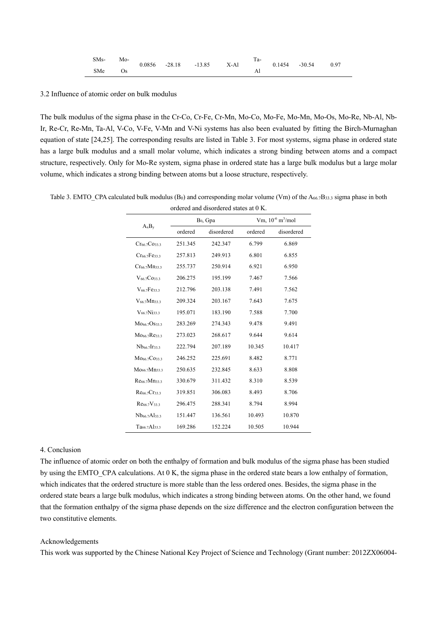| $SMs-$ | Mo-  |  |                                   | Ta- |                          |  |
|--------|------|--|-----------------------------------|-----|--------------------------|--|
|        |      |  | $0.0856$ $-28.18$ $-13.85$ $X-A1$ |     | $0.1454$ $-30.54$ $0.97$ |  |
| SMe    | - Os |  |                                   |     |                          |  |

#### 3.2 Influence of atomic order on bulk modulus

The bulk modulus of the sigma phase in the Cr-Co, Cr-Fe, Cr-Mn, Mo-Co, Mo-Fe, Mo-Mn, Mo-Os, Mo-Re, Nb-Al, Nb-Ir, Re-Cr, Re-Mn, Ta-Al, V-Co, V-Fe, V-Mn and V-Ni systems has also been evaluated by fitting the Birch-Murnaghan equation of state [24,25]. The corresponding results are listed in Table 3. For most systems, sigma phase in ordered state has a large bulk modulus and a small molar volume, which indicates a strong binding between atoms and a compact structure, respectively. Only for Mo-Re system, sigma phase in ordered state has a large bulk modulus but a large molar volume, which indicates a strong binding between atoms but a loose structure, respectively.

| $A_xB_y$                              |         | $B_0$ , Gpa | Vm, $10^{-6}$ m <sup>3</sup> /mol |            |  |
|---------------------------------------|---------|-------------|-----------------------------------|------------|--|
|                                       | ordered | disordered  | ordered                           | disordered |  |
| $Cr_{66.7}Co_{33.3}$                  | 251.345 | 242.347     | 6.799                             | 6.869      |  |
| $Cr_{66.7}Fe_{33.3}$                  | 257.813 | 249.913     | 6.801                             | 6.855      |  |
| Cr <sub>66.7</sub> Mn <sub>33.3</sub> | 255.737 | 250.914     | 6.921                             | 6.950      |  |
| $V_{66.7}Co_{33.3}$                   | 206.275 | 195.199     | 7.467                             | 7.566      |  |
| $V_{66.7}Fe_{33.3}$                   | 212.796 | 203.138     | 7.491                             | 7.562      |  |
| $V_{66,7}Mn_{33,3}$                   | 209.324 | 203.167     | 7.643                             | 7.675      |  |
| $V_{66,7}$ Ni <sub>33.3</sub>         | 195.071 | 183.190     | 7.588                             | 7.700      |  |
| M066.7OS33.3                          | 283.269 | 274.343     | 9.478                             | 9.491      |  |
| Mo <sub>66.7</sub> Re <sub>33.3</sub> | 273.023 | 268.617     | 9.644                             | 9.614      |  |
| Nb <sub>66.7</sub> Ir <sub>33.3</sub> | 222.794 | 207.189     | 10.345                            | 10.417     |  |
| M066.7C033.3                          | 246.252 | 225.691     | 8.482                             | 8.771      |  |
| Mo <sub>66.7</sub> Mn <sub>33.3</sub> | 250.635 | 232.845     | 8.633                             | 8.808      |  |
| Re <sub>66.7</sub> Mn <sub>33.3</sub> | 330.679 | 311.432     | 8.310                             | 8.539      |  |
| $Re_{66.7}Cr_{33.3}$                  | 319.851 | 306.083     | 8.493                             | 8.706      |  |
| Re66.7V33.3                           | 296.475 | 288.341     | 8.794                             | 8.994      |  |
| Nb <sub>66.7</sub> Al <sub>33.3</sub> | 151.447 | 136.561     | 10.493                            | 10.870     |  |
| $Ta_{66,7}Al_{33,3}$                  | 169.286 | 152.224     | 10.505                            | 10.944     |  |

Table 3. EMTO\_CPA calculated bulk modulus (B<sub>0</sub>) and corresponding molar volume (Vm) of the A<sub>66.7</sub>B<sub>33.3</sub> sigma phase in both

#### 4. Conclusion

The influence of atomic order on both the enthalpy of formation and bulk modulus of the sigma phase has been studied by using the EMTO\_CPA calculations. At 0 K, the sigma phase in the ordered state bears a low enthalpy of formation, which indicates that the ordered structure is more stable than the less ordered ones. Besides, the sigma phase in the ordered state bears a large bulk modulus, which indicates a strong binding between atoms. On the other hand, we found that the formation enthalpy of the sigma phase depends on the size difference and the electron configuration between the two constitutive elements.

#### Acknowledgements

This work was supported by the Chinese National Key Project of Science and Technology (Grant number: 2012ZX06004-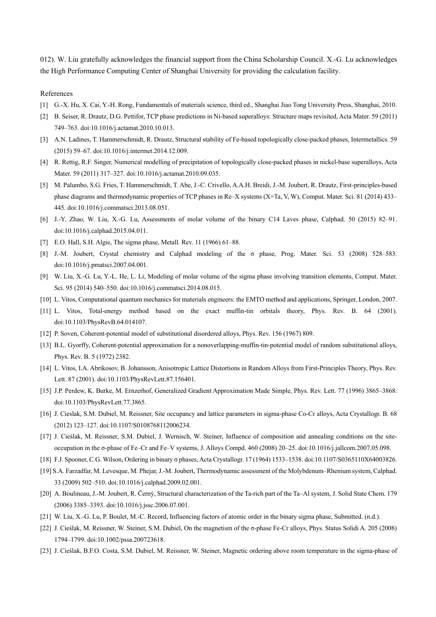012). W. Liu gratefully acknowledges the financial support from the China Scholarship Council. X.-G. Lu acknowledges the High Performance Computing Center of Shanghai University for providing the calculation facility.

References

- [1] G.-X. Hu, X. Cai, Y.-H. Rong, Fundamentals of materials science, third ed., Shanghai Jiao Tong University Press, Shanghai, 2010.
- [2] B. Seiser, R. Drautz, D.G. Pettifor, TCP phase predictions in Ni-based superalloys: Structure maps revisited, Acta Mater. 59 (2011) 749–763. doi:10.1016/j.actamat.2010.10.013.
- [3] A.N. Ladines, T. Hammerschmidt, R. Drautz, Structural stability of Fe-based topologically close-packed phases, Intermetallics. 59 (2015) 59–67. doi:10.1016/j.intermet.2014.12.009.
- [4] R. Rettig, R.F. Singer, Numerical modelling of precipitation of topologically close-packed phases in nickel-base superalloys, Acta Mater. 59 (2011) 317–327. doi:10.1016/j.actamat.2010.09.035.
- [5] M. Palumbo, S.G. Fries, T. Hammerschmidt, T. Abe, J.-C. Crivello, A.A.H. Breidi, J.-M. Joubert, R. Drautz, First-principles-based phase diagrams and thermodynamic properties of TCP phases in Re–X systems (X=Ta, V, W), Comput. Mater. Sci. 81 (2014) 433– 445. doi:10.1016/j.commatsci.2013.08.051.
- [6] J.-Y. Zhao, W. Liu, X.-G. Lu, Assessments of molar volume of the binary C14 Laves phase, Calphad. 50 (2015) 82–91. doi:10.1016/j.calphad.2015.04.011.
- [7] E.O. Hall, S.H. Algie, The sigma phase, Metall. Rev. 11 (1966) 61–88.
- [8] J.-M. Joubert, Crystal chemistry and Calphad modeling of the σ phase, Prog. Mater. Sci. 53 (2008) 528–583. doi:10.1016/j.pmatsci.2007.04.001.
- [9] W. Liu, X.-G. Lu, Y.-L. He, L. Li, Modeling of molar volume of the sigma phase involving transition elements, Comput. Mater. Sci. 95 (2014) 540–550. doi:10.1016/j.commatsci.2014.08.015.
- [10] L. Vitos, Computational quantum mechanics for materials engineers: the EMTO method and applications, Springer, London, 2007.
- [11] L. Vitos, Total-energy method based on the exact muffin-tin orbitals theory, Phys. Rev. B. 64 (2001). doi:10.1103/PhysRevB.64.014107.
- [12] P. Soven, Coherent-potential model of substitutional disordered alloys, Phys. Rev. 156 (1967) 809.
- [13] B.L. Gyorffy, Coherent-potential approximation for a nonoverlapping-muffin-tin-potential model of random substitutional alloys, Phys. Rev. B. 5 (1972) 2382.
- [14] L. Vitos, I.A. Abrikosov, B. Johansson, Anisotropic Lattice Distortions in Random Alloys from First-Principles Theory, Phys. Rev. Lett. 87 (2001). doi:10.1103/PhysRevLett.87.156401.
- [15] J.P. Perdew, K. Burke, M. Ernzerhof, Generalized Gradient Approximation Made Simple, Phys. Rev. Lett. 77 (1996) 3865–3868. doi:10.1103/PhysRevLett.77.3865.
- [16] J. Cieslak, S.M. Dubiel, M. Reissner, Site occupancy and lattice parameters in sigma-phase Co-Cr alloys, Acta Crystallogr. B. 68 (2012) 123–127. doi:10.1107/S0108768112006234.
- [17] J. Cieślak, M. Reissner, S.M. Dubiel, J. Wernisch, W. Steiner, Influence of composition and annealing conditions on the siteoccupation in the σ-phase of Fe–Cr and Fe–V systems, J. Alloys Compd. 460 (2008) 20–25. doi:10.1016/j.jallcom.2007.05.098.
- [18] F.J. Spooner, C.G. Wilson, Ordering in binary σ phases, Acta Crystallogr. 17 (1964) 1533–1538. doi:10.1107/S0365110X64003826.
- [19] S.A. Farzadfar, M. Levesque, M. Phejar, J.-M. Joubert, Thermodynamic assessment of the Molybdenum–Rhenium system, Calphad. 33 (2009) 502–510. doi:10.1016/j.calphad.2009.02.001.
- [20] A. Boulineau, J.-M. Joubert, R. Černý, Structural characterization of the Ta-rich part of the Ta–Al system, J. Solid State Chem. 179 (2006) 3385–3393. doi:10.1016/j.jssc.2006.07.001.
- [21] W. Liu, X.-G. Lu, P. Boulet, M.-C. Record, Influencing factors of atomic order in the binary sigma phase, Submitted. (n.d.).
- [22] J. Cieślak, M. Reissner, W. Steiner, S.M. Dubiel, On the magnetism of the σ-phase Fe-Cr alloys, Phys. Status Solidi A. 205 (2008) 1794–1799. doi:10.1002/pssa.200723618.
- [23] J. Cieślak, B.F.O. Costa, S.M. Dubiel, M. Reissner, W. Steiner, Magnetic ordering above room temperature in the sigma-phase of